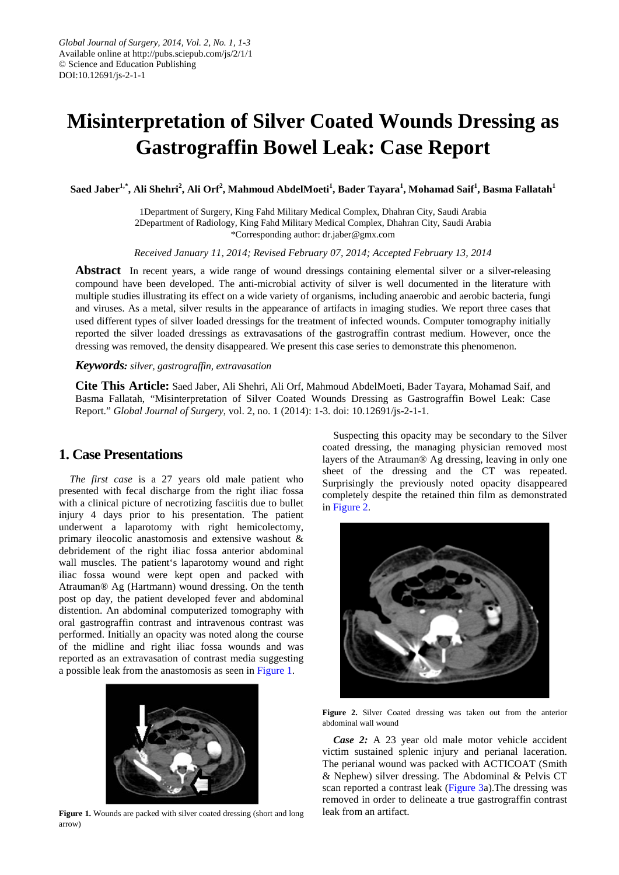# **Misinterpretation of Silver Coated Wounds Dressing as Gastrograffin Bowel Leak: Case Report**

Saed Jaber $^{1,*}$ , Ali Shehri $^2$ , Ali Orf $^2$ , Mahmoud AbdelMoeti $^1$ , Bader Tayara $^1$ , Mohamad Saif $^1$ , Basma Fallatah $^1$ 

1Department of Surgery, King Fahd Military Medical Complex, Dhahran City, Saudi Arabia 2Department of Radiology, King Fahd Military Medical Complex, Dhahran City, Saudi Arabia \*Corresponding author: dr.jaber@gmx.com

*Received January 11, 2014; Revised February 07, 2014; Accepted February 13, 2014*

**Abstract** In recent years, a wide range of wound dressings containing elemental silver or a silver-releasing compound have been developed. The anti-microbial activity of silver is well documented in the literature with multiple studies illustrating its effect on a wide variety of organisms, including anaerobic and aerobic bacteria, fungi and viruses. As a metal, silver results in the appearance of artifacts in imaging studies. We report three cases that used different types of silver loaded dressings for the treatment of infected wounds. Computer tomography initially reported the silver loaded dressings as extravasations of the gastrograffin contrast medium. However, once the dressing was removed, the density disappeared. We present this case series to demonstrate this phenomenon.

#### *Keywords: silver, gastrograffin, extravasation*

**Cite This Article:** Saed Jaber, Ali Shehri, Ali Orf, Mahmoud AbdelMoeti, Bader Tayara, Mohamad Saif, and Basma Fallatah, "Misinterpretation of Silver Coated Wounds Dressing as Gastrograffin Bowel Leak: Case Report." *Global Journal of Surgery*, vol. 2, no. 1 (2014): 1-3. doi: 10.12691/js-2-1-1.

# **1. Case Presentations**

*The first case* is a 27 years old male patient who presented with fecal discharge from the right iliac fossa with a clinical picture of necrotizing fasciitis due to bullet injury 4 days prior to his presentation. The patient underwent a laparotomy with right hemicolectomy, primary ileocolic anastomosis and extensive washout & debridement of the right iliac fossa anterior abdominal wall muscles. The patient's laparotomy wound and right iliac fossa wound were kept open and packed with Atrauman® Ag (Hartmann) wound dressing. On the tenth post op day, the patient developed fever and abdominal distention. An abdominal computerized tomography with oral gastrograffin contrast and intravenous contrast was performed. Initially an opacity was noted along the course of the midline and right iliac fossa wounds and was reported as an extravasation of contrast media suggesting a possible leak from the anastomosis as seen in Figure 1.



Figure 1. Wounds are packed with silver coated dressing (short and long arrow)

Suspecting this opacity may be secondary to the Silver coated dressing, the managing physician removed most layers of the Atrauman® Ag dressing, leaving in only one sheet of the dressing and the CT was repeated. Surprisingly the previously noted opacity disappeared completely despite the retained thin film as demonstrated in [Figure 2.](#page-0-0)

<span id="page-0-0"></span>

**Figure 2.** Silver Coated dressing was taken out from the anterior abdominal wall wound

*Case 2:* A 23 year old male motor vehicle accident victim sustained splenic injury and perianal laceration. The perianal wound was packed with ACTICOAT (Smith & Nephew) silver dressing. The Abdominal & Pelvis CT scan reported a contrast leak [\(Figure 3a](#page-1-0)).The dressing was removed in order to delineate a true gastrograffin contrast leak from an artifact.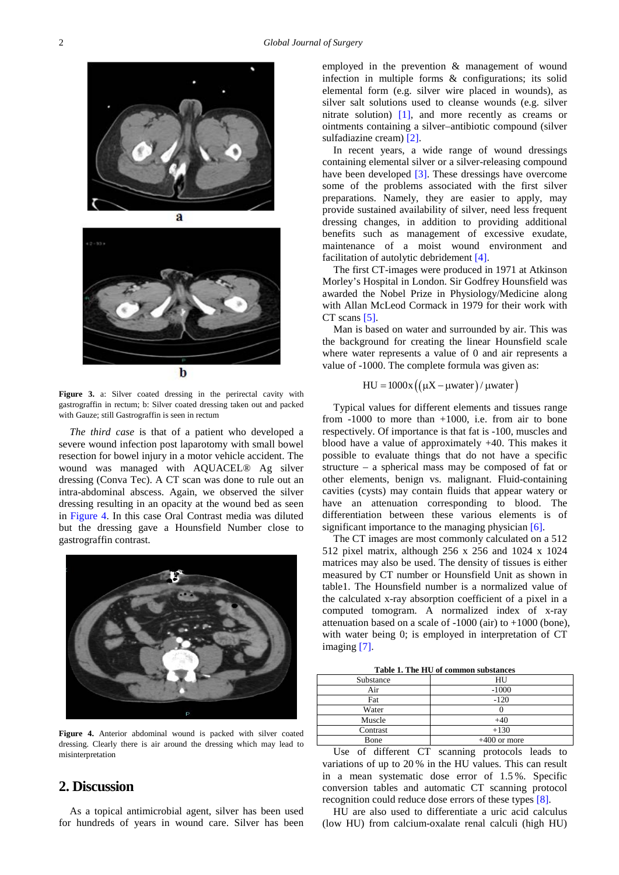<span id="page-1-0"></span>

**Figure 3.** a: Silver coated dressing in the perirectal cavity with gastrograffin in rectum; b: Silver coated dressing taken out and packed with Gauze; still Gastrograffin is seen in rectum

*The third case* is that of a patient who developed a severe wound infection post laparotomy with small bowel resection for bowel injury in a motor vehicle accident. The wound was managed with AQUACEL® Ag silver dressing (Conva Tec). A CT scan was done to rule out an intra-abdominal abscess. Again, we observed the silver dressing resulting in an opacity at the wound bed as seen in [Figure 4.](#page-1-1) In this case Oral Contrast media was diluted but the dressing gave a Hounsfield Number close to gastrograffin contrast.

<span id="page-1-1"></span>

**Figure 4.** Anterior abdominal wound is packed with silver coated dressing. Clearly there is air around the dressing which may lead to misinterpretation

## **2. Discussion**

As a topical antimicrobial agent, silver has been used for hundreds of years in wound care. Silver has been employed in the prevention & management of wound infection in multiple forms & configurations; its solid elemental form (e.g. silver wire placed in wounds), as silver salt solutions used to cleanse wounds (e.g. silver nitrate solution) [\[1\],](#page-2-0) and more recently as creams or ointments containing a silver–antibiotic compound (silver sulfadiazine cream) [\[2\].](#page-2-1)

In recent years, a wide range of wound dressings containing elemental silver or a silver-releasing compound have been developed [\[3\].](#page-2-2) These dressings have overcome some of the problems associated with the first silver preparations. Namely, they are easier to apply, may provide sustained availability of silver, need less frequent dressing changes, in addition to providing additional benefits such as management of excessive exudate, maintenance of a moist wound environment and facilitation of autolytic debridement [\[4\].](#page-2-3)

The first CT-images were produced in 1971 at Atkinson Morley's Hospital in London. Sir Godfrey Hounsfield was awarded the Nobel Prize in Physiology/Medicine along with Allan McLeod Cormack in 1979 for their work with CT scan[s \[5\].](#page-2-4)

Man is based on water and surrounded by air. This was the background for creating the linear Hounsfield scale where water represents a value of 0 and air represents a value of -1000. The complete formula was given as:

#### $HU = 1000x ((\mu X - \mu water)/\mu water)$

Typical values for different elements and tissues range from  $-1000$  to more than  $+1000$ , i.e. from air to bone respectively. Of importance is that fat is -100, muscles and blood have a value of approximately +40. This makes it possible to evaluate things that do not have a specific structure – a spherical mass may be composed of fat or other elements, benign vs. malignant. Fluid-containing cavities (cysts) may contain fluids that appear watery or have an attenuation corresponding to blood. The differentiation between these various elements is of significant importance to the managing physician [\[6\].](#page-2-5)

The CT images are most commonly calculated on a 512 512 pixel matrix, although 256 x 256 and 1024 x 1024 matrices may also be used. The density of tissues is either measured by CT number or Hounsfield Unit as shown in table1. The Hounsfield number is a normalized value of the calculated x-ray absorption coefficient of a pixel in a computed tomogram. A normalized index of x-ray attenuation based on a scale of -1000 (air) to +1000 (bone), with water being 0; is employed in interpretation of CT imaging [\[7\].](#page-2-6)

**Table 1. The HU of common substances**

| Substance | HU             |
|-----------|----------------|
| Air       | $-1000$        |
| Fat       | $-120$         |
| Water     |                |
| Muscle    | $+40$          |
| Contrast  | $+130$         |
| Bone      | $+400$ or more |
|           |                |

Use of different CT scanning protocols leads to variations of up to 20 % in the HU values. This can result in a mean systematic dose error of 1.5 %. Specific conversion tables and automatic CT scanning protocol recognition could reduce dose errors of these types [\[8\].](#page-2-7)

HU are also used to differentiate a uric acid calculus (low HU) from calcium-oxalate renal calculi (high HU)